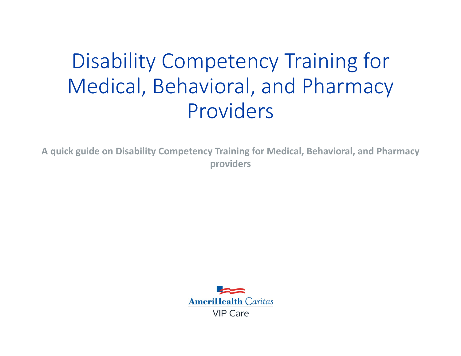# Disability Competency Training for Medical, Behavioral, and Pharmacy Providers

**A quick guide on Disability Competency Training for Medical, Behavioral, and Pharmacy providers**

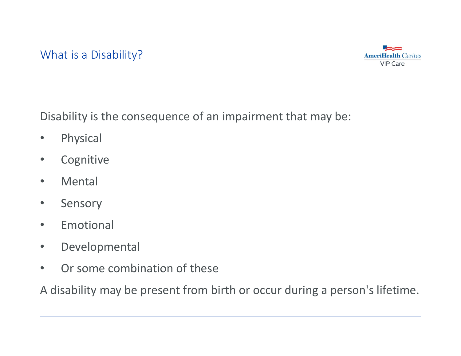#### What is a Disability?



Disability is the consequence of an impairment that may be:

- $\bullet$ Physical
- $\bullet$ **Cognitive**
- $\bullet$ Mental
- $\bullet$ Sensory
- $\bullet$ Emotional
- $\bullet$ Developmental
- •Or some combination of these

A disability may be present from birth or occur during a person's lifetime.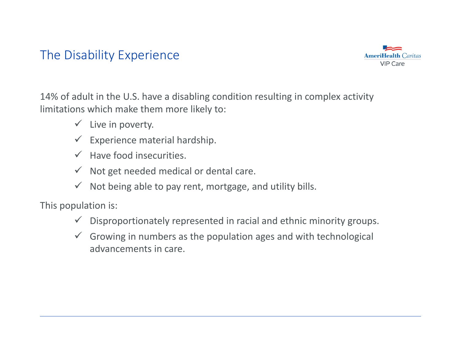# The Disability Experience



14% of adult in the U.S. have a disabling condition resulting in complex activity limitations which make them more likely to:

- $\checkmark$  Live in poverty.
- $\checkmark$  Experience material hardship.
- $\checkmark$  Have food insecurities.
- $\checkmark$  Not get needed medical or dental care.
- $\checkmark$  Not being able to pay rent, mortgage, and utility bills.

This population is:

- $\checkmark$ Disproportionately represented in racial and ethnic minority groups.
- $\checkmark$  Growing in numbers as the population ages and with technological advancements in care.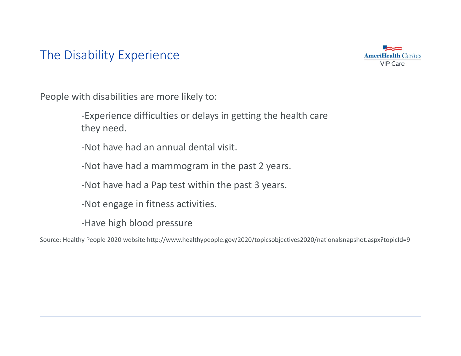# The Disability Experience



People with disabilities are more likely to:

‐Experience difficulties or delays in getting the health care they need.

‐Not have had an annual dental visit.

‐Not have had a mammogram in the past 2 years.

‐Not have had a Pap test within the past 3 years.

‐Not engage in fitness activities.

‐Have high blood pressure

Source: Healthy People 2020 website<http://www.healthypeople.gov/2020/topicsobjectives2020/nationalsnapshot.aspx?topicId=9>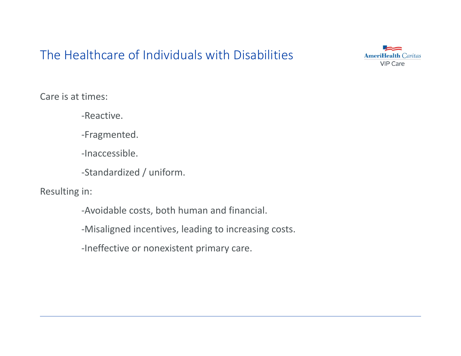# The Healthcare of Individuals with Disabilities



Care is at times:

‐Reactive.

‐Fragmented.

‐Inaccessible.

‐Standardized / uniform.

Resulting in:

‐Avoidable costs, both human and financial.

‐Misaligned incentives, leading to increasing costs.

‐Ineffective or nonexistent primary care.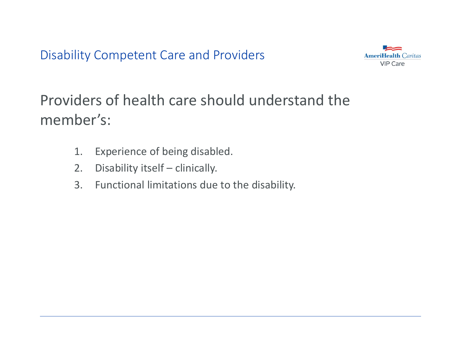Disability Competent Care and Providers



Providers of health care should understand the member's:

- 1.Experience of being disabled.
- 2.Disability itself – clinically.
- 3. Functional limitations due to the disability.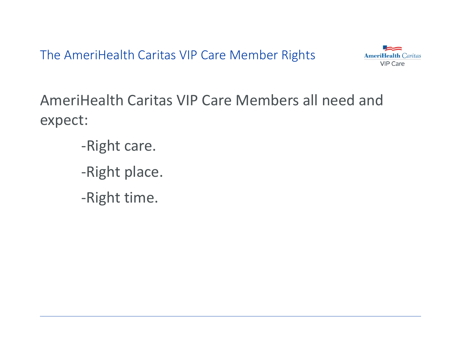The AmeriHealth Caritas VIP Care Member Rights



AmeriHealth Caritas VIP Care Members all need and expect:

- ‐Right care.
- ‐Right place.
- ‐Right time.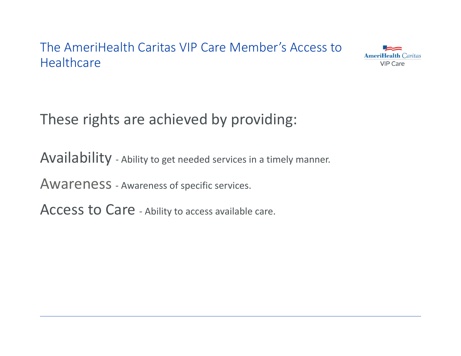# The AmeriHealth Caritas VIP Care Member's Access to Healthcare



These rights are achieved by providing:

Availability - Ability to get needed services in a timely manner.

Awareness - Awareness of specific services.

Access to Care - Ability to access available care.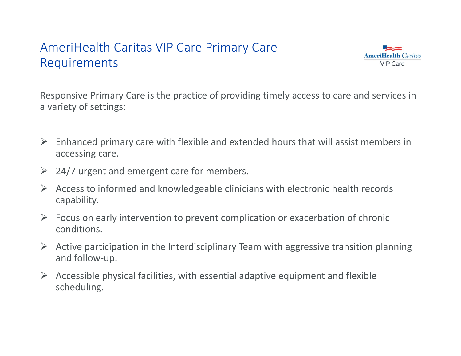# AmeriHealth Caritas VIP Care Primary Care Requirements



Responsive Primary Care is the practice of providing timely access to care and services in a variety of settings:

- $\triangleright$  Enhanced primary care with flexible and extended hours that will assist members in accessing care.
- $\geq$  24/7 urgent and emergent care for members.
- $\blacktriangleright$  Access to informed and knowledgeable clinicians with electronic health records capability.
- $\triangleright$  Focus on early intervention to prevent complication or exacerbation of chronic conditions.
- $\triangleright$  Active participation in the Interdisciplinary Team with aggressive transition planning and follow‐up.
- $\triangleright$  Accessible physical facilities, with essential adaptive equipment and flexible scheduling.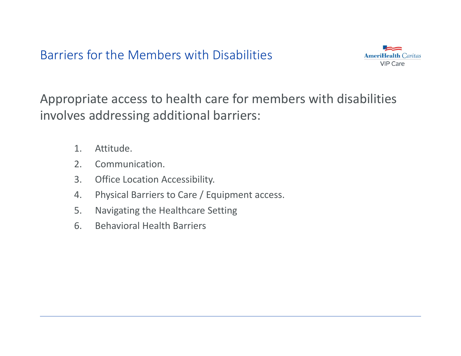Barriers for the Members with Disabilities



Appropriate access to health care for members with disabilities involves addressing additional barriers:

- 1.Attitude.
- 2.Communication.
- 3.Office Location Accessibility.
- 4.Physical Barriers to Care / Equipment access.
- 5.Navigating the Healthcare Setting
- 6.Behavioral Health Barriers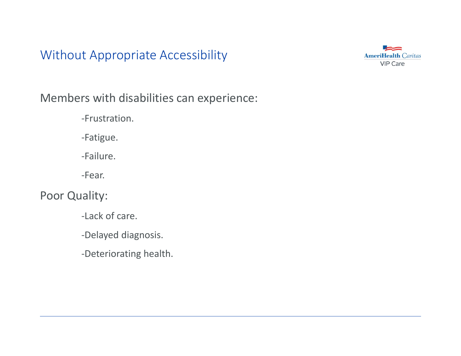Without Appropriate Accessibility



Members with disabilities can experience:

‐Frustration.

‐Fatigue.

‐Failure.

‐Fear.

Poor Quality:

‐Lack of care.

‐Delayed diagnosis.

‐Deteriorating health.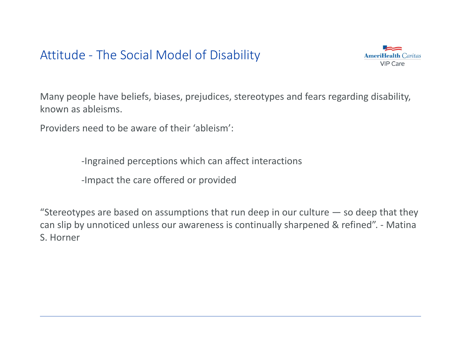Attitude ‐ The Social Model of Disability



Many people have beliefs, biases, prejudices, stereotypes and fears regarding disability, known as ableisms.

Providers need to be aware of their 'ableism':

‐Ingrained perceptions which can affect interactions

‐Impact the care offered or provided

"Stereotypes are based on assumptions that run deep in our culture  $-$  so deep that they can slip by unnoticed unless our awareness is continually sharpened & refined". ‐ Matina S. Horner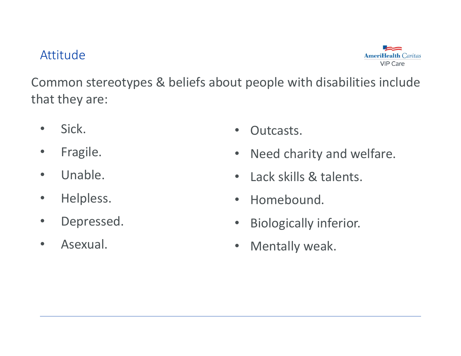#### Attitude



Common stereotypes & beliefs about people with disabilities include that they are:

- $\bullet$ Sick.
- $\bullet$ Fragile.
- $\bullet$ Unable.
- $\bullet$ Helpless.
- $\bullet$ Depressed.
- •Asexual.
- $\bullet$ Outcasts.
- $\bullet$ Need charity and welfare.
- $\bullet$ Lack skills & talents.
- $\bullet$ Homebound.
- $\bullet$ Biologically inferior.
- •Mentally weak.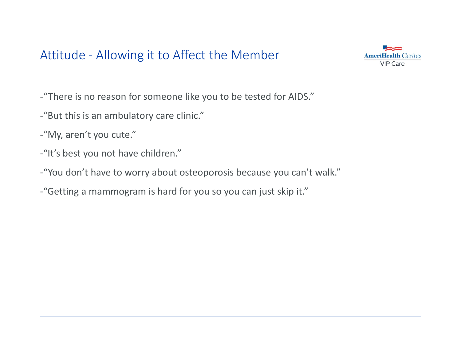# Attitude ‐ Allowing it to Affect the Member



‐"There is no reason for someone like you to be tested for AIDS."

- ‐"But this is an ambulatory care clinic."
- ‐"My, aren't you cute."
- ‐"It's best you not have children."
- ‐"You don't have to worry about osteoporosis because you can't walk."
- ‐"Getting a mammogram is hard for you so you can just skip it."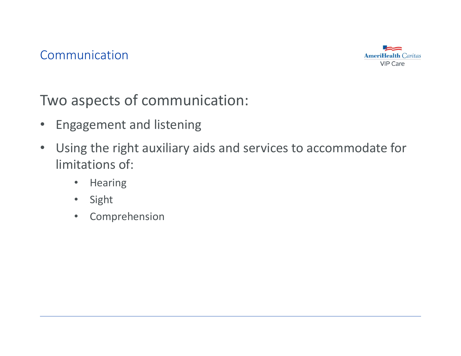

Two aspects of communication:

- Engagement and listening
- Using the right auxiliary aids and services to accommodate for limitations of:
	- $\bullet$ Hearing
	- $\bullet$ Sight
	- $\bullet$ Comprehension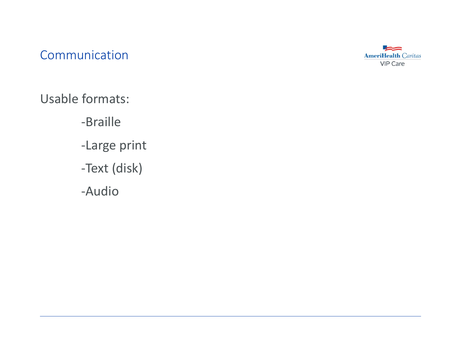Communication



Usable formats:

‐Braille

- ‐Large print
- ‐Text (disk)
- ‐Audio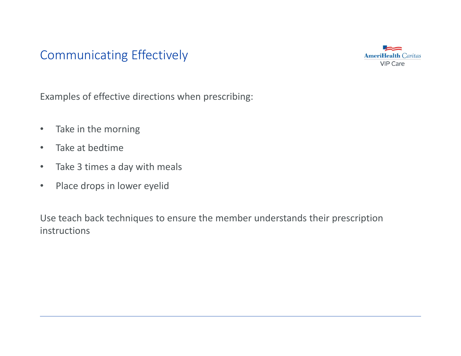# Communicating Effectively



Examples of effective directions when prescribing:

- $\bullet$ • Take in the morning
- $\bullet$ Take at bedtime
- $\bullet$ Take 3 times a day with meals
- $\bullet$ Place drops in lower eyelid

Use teach back techniques to ensure the member understands their prescription instructions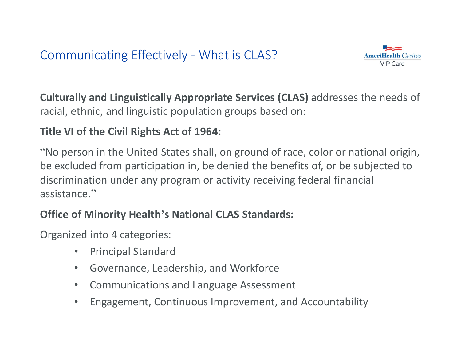

**Culturally and Linguistically Appropriate Services (CLAS)** addresses the needs of racial, ethnic, and linguistic population groups based on:

#### **Title VI of the Civil Rights Act of 1964:**

"No person in the United States shall, on ground of race, color or national origin, be excluded from participation in, be denied the benefits of, or be subjected to discrimination under any program or activity receiving federal financial assistance."

#### **Office of Minority Health's National CLAS Standards:**

Organized into 4 categories:

- $\bullet$ Principal Standard
- $\bullet$ Governance, Leadership, and Workforce
- $\bullet$ Communications and Language Assessment
- •Engagement, Continuous Improvement, and Accountability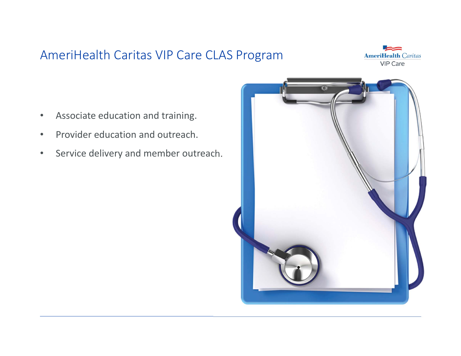# AmeriHealth Caritas VIP Care CLAS Program



- •Associate education and training.
- •Provider education and outreach.
- $\bullet$ Service delivery and member outreach.

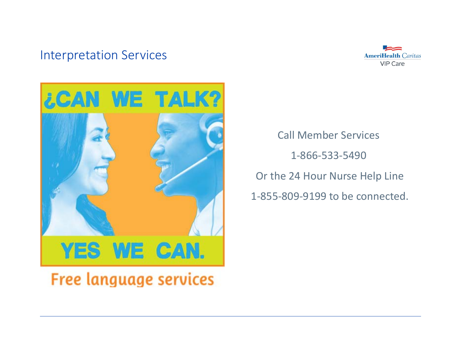#### Interpretation Services





Call Member Services1‐866‐533‐5490Or the 24 Hour Nurse Help Line 1‐855‐809‐9199 to be connected.

**Free language services**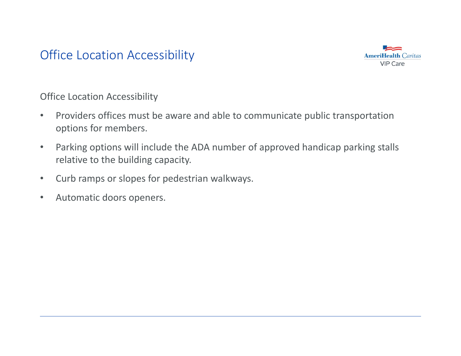# Office Location Accessibility



Office Location Accessibility

- $\bullet$  Providers offices must be aware and able to communicate public transportation options for members.
- $\bullet$  Parking options will include the ADA number of approved handicap parking stalls relative to the building capacity.
- $\bullet$ Curb ramps or slopes for pedestrian walkways.
- $\bullet$ Automatic doors openers.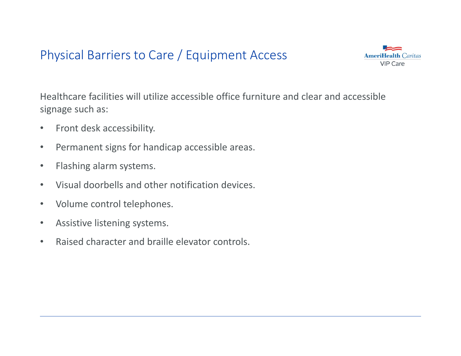# Physical Barriers to Care / Equipment Access



Healthcare facilities will utilize accessible office furniture and clear and accessible signage such as:

- $\bullet$ Front desk accessibility.
- $\bullet$ Permanent signs for handicap accessible areas.
- $\bullet$ Flashing alarm systems.
- $\bullet$ Visual doorbells and other notification devices.
- $\bullet$ Volume control telephones.
- $\bullet$ Assistive listening systems.
- $\bullet$ Raised character and braille elevator controls.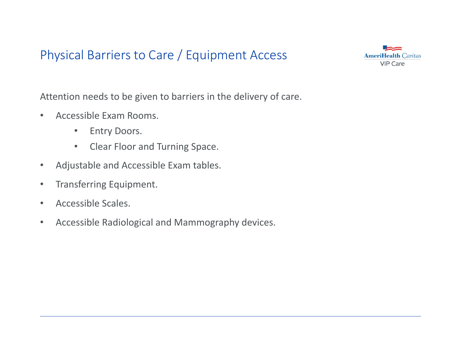# Physical Barriers to Care / Equipment Access



Attention needs to be given to barriers in the delivery of care.

- $\bullet$  Accessible Exam Rooms.
	- $\bullet$ Entry Doors.
	- $\bullet$ Clear Floor and Turning Space.
- $\bullet$ Adjustable and Accessible Exam tables.
- $\bullet$ Transferring Equipment.
- $\bullet$ Accessible Scales.
- $\bullet$ Accessible Radiological and Mammography devices.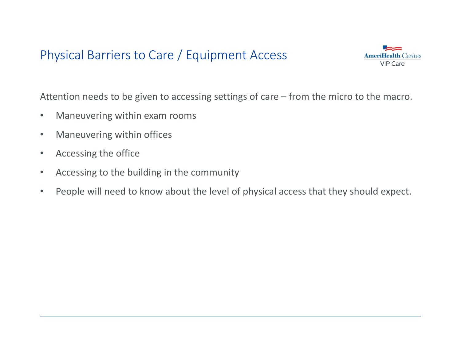# Physical Barriers to Care / Equipment Access



Attention needs to be given to accessing settings of care – from the micro to the macro.

- $\bullet$ Maneuvering within exam rooms
- $\bullet$ Maneuvering within offices
- $\bullet$ Accessing the office
- $\bullet$ Accessing to the building in the community
- $\bullet$ People will need to know about the level of physical access that they should expect.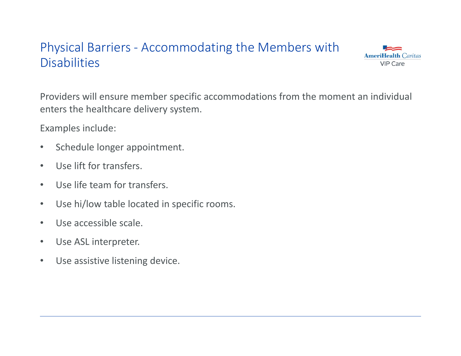# Physical Barriers ‐ Accommodating the Members with **Disabilities**



Providers will ensure member specific accommodations from the moment an individual enters the healthcare delivery system.

Examples include:

- $\bullet$ Schedule longer appointment.
- $\bullet$ Use lift for transfers.
- $\bullet$ Use life team for transfers.
- $\bullet$ Use hi/low table located in specific rooms.
- $\bullet$ Use accessible scale.
- $\bullet$ Use ASL interpreter.
- $\bullet$ Use assistive listening device.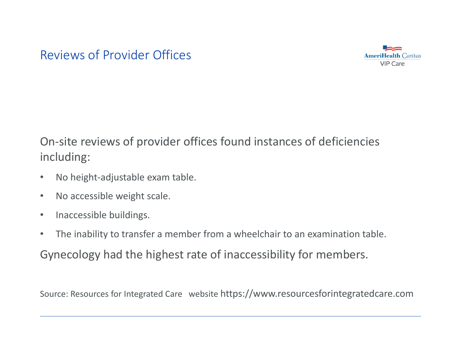#### Reviews of Provider Offices



On‐site reviews of provider offices found instances of deficiencies including:

- $\bullet$ No height‐adjustable exam table.
- $\bullet$ No accessible weight scale.
- $\bullet$ Inaccessible buildings.
- •The inability to transfer a member from a wheelchair to an examination table.

Gynecology had the highest rate of inaccessibility for members.

Source: Resources for Integrated Care website <https://www.resourcesforintegratedcare.com>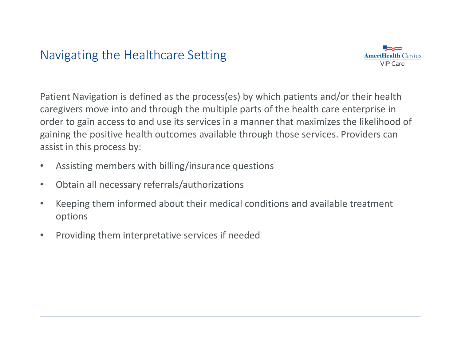# Navigating the Healthcare Setting



Patient Navigation is defined as the process(es) by which patients and/or their health caregivers move into and through the multiple parts of the health care enterprise in order to gain access to and use its services in a manner that maximizes the likelihood of gaining the positive health outcomes available through those services. Providers can assist in this process by:

- $\bullet$ Assisting members with billing/insurance questions
- $\bullet$ Obtain all necessary referrals/authorizations
- • Keeping them informed about their medical conditions and available treatment options
- $\bullet$ Providing them interpretative services if needed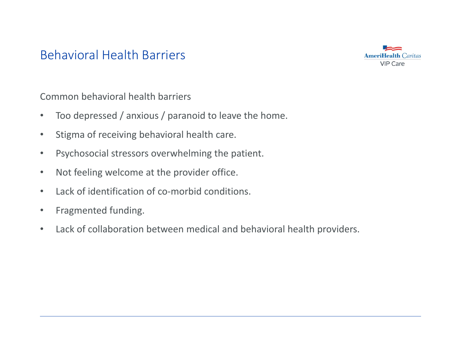#### Behavioral Health Barriers



Common behavioral health barriers

- $\bullet$ Too depressed / anxious / paranoid to leave the home.
- $\bullet$ Stigma of receiving behavioral health care.
- $\bullet$ Psychosocial stressors overwhelming the patient.
- $\bullet$ Not feeling welcome at the provider office.
- $\bullet$ Lack of identification of co-morbid conditions.
- $\bullet$ Fragmented funding.
- $\bullet$ Lack of collaboration between medical and behavioral health providers.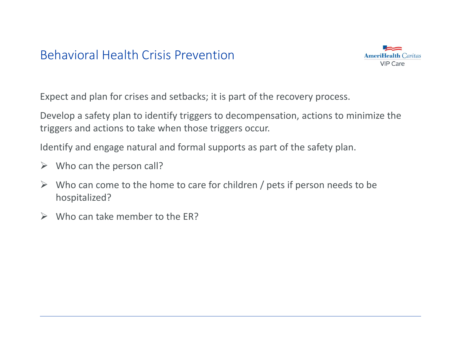# Behavioral Health Crisis Prevention



Expect and plan for crises and setbacks; it is part of the recovery process.

Develop a safety plan to identify triggers to decompensation, actions to minimize the triggers and actions to take when those triggers occur.

Identify and engage natural and formal supports as part of the safety plan.

- $\triangleright$  Who can the person call?
- $\blacktriangleright$  Who can come to the home to care for children / pets if person needs to be hospitalized?
- $\triangleright$  Who can take member to the ER?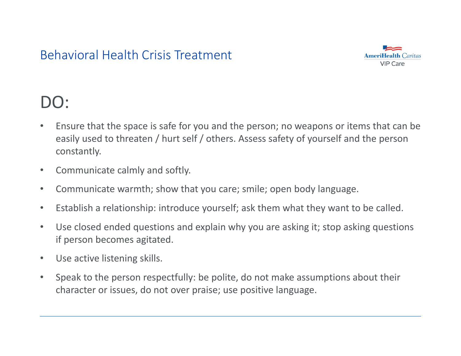# Behavioral Health Crisis Treatment



# DO:

- $\bullet$  Ensure that the space is safe for you and the person; no weapons or items that can be easily used to threaten / hurt self / others. Assess safety of yourself and the person constantly.
- $\bullet$ Communicate calmly and softly.
- $\bullet$ Communicate warmth; show that you care; smile; open body language.
- $\bullet$ Establish a relationship: introduce yourself; ask them what they want to be called.
- $\bullet$  Use closed ended questions and explain why you are asking it; stop asking questions if person becomes agitated.
- $\bullet$ Use active listening skills.
- $\bullet$  Speak to the person respectfully: be polite, do not make assumptions about their character or issues, do not over praise; use positive language.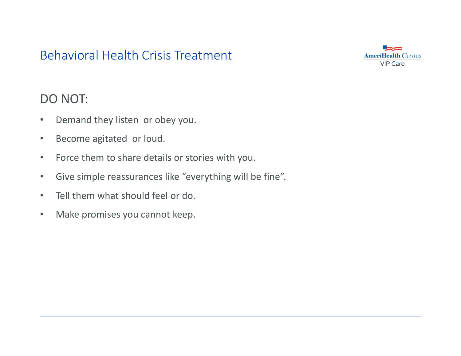# Behavioral Health Crisis Treatment



#### DO NOT:

- $\bullet$ Demand they listen or obey you.
- $\bullet$ Become agitated or loud.
- •Force them to share details or stories with you.
- $\bullet$ Give simple reassurances like "everything will be fine".
- $\bullet$ Tell them what should feel or do.
- $\bullet$ Make promises you cannot keep.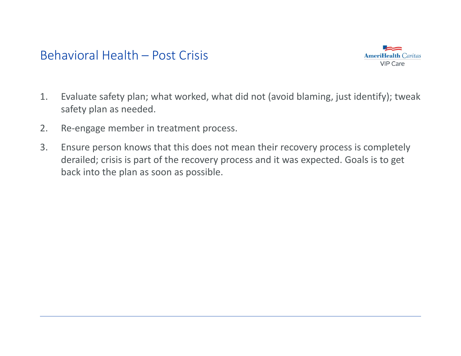#### Behavioral Health – Post Crisis



- 1. Evaluate safety plan; what worked, what did not (avoid blaming, just identify); tweak safety plan as needed.
- 2.Re‐engage member in treatment process.
- 3. Ensure person knows that this does not mean their recovery process is completely derailed; crisis is part of the recovery process and it was expected. Goals is to get back into the plan as soon as possible.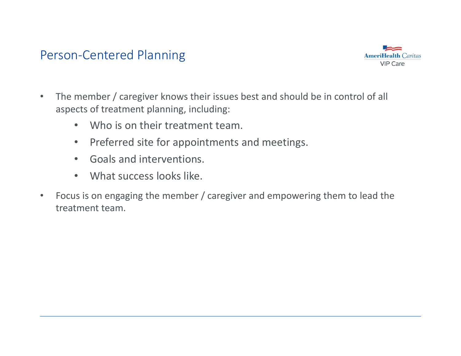#### Person‐Centered Planning



- • The member / caregiver knows their issues best and should be in control of all aspects of treatment planning, including:
	- $\bullet$ Who is on their treatment team.
	- $\bullet$ • Preferred site for appointments and meetings.
	- •Goals and interventions.
	- $\bullet$ What success looks like.
- $\bullet$  Focus is on engaging the member / caregiver and empowering them to lead the treatment team.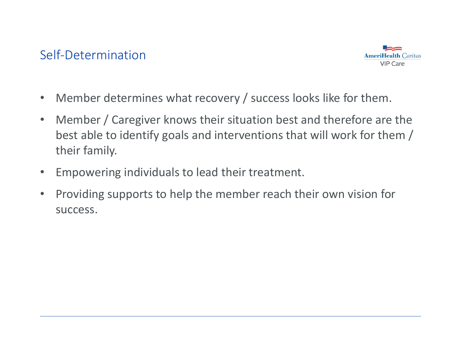#### Self‐Determination



- $\bullet$ Member determines what recovery / success looks like for them.
- $\bullet$  Member / Caregiver knows their situation best and therefore are the best able to identify goals and interventions that will work for them / their family.
- •Empowering individuals to lead their treatment.
- $\bullet$  Providing supports to help the member reach their own vision for success.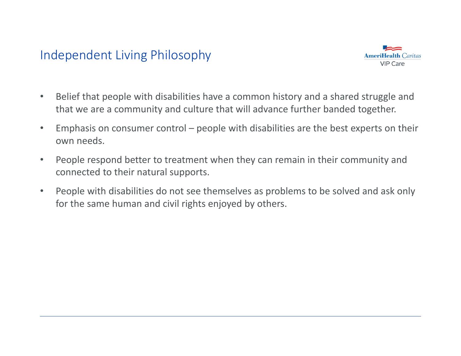# Independent Living Philosophy



- • Belief that people with disabilities have a common history and a shared struggle and that we are a community and culture that will advance further banded together.
- $\bullet$  Emphasis on consumer control – people with disabilities are the best experts on their own needs.
- $\bullet$  People respond better to treatment when they can remain in their community and connected to their natural supports.
- $\bullet$  People with disabilities do not see themselves as problems to be solved and ask only for the same human and civil rights enjoyed by others.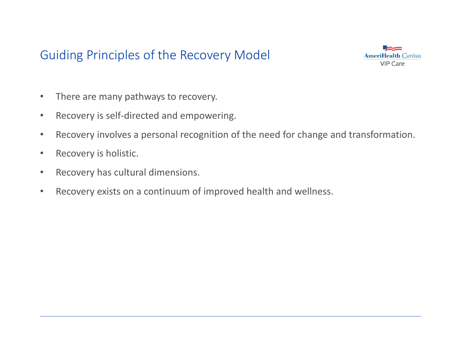# Guiding Principles of the Recovery Model



- •There are many pathways to recovery.
- $\bullet$ Recovery is self‐directed and empowering.
- $\bullet$ Recovery involves a personal recognition of the need for change and transformation.
- $\bullet$ Recovery is holistic.
- $\bullet$ Recovery has cultural dimensions.
- •Recovery exists on a continuum of improved health and wellness.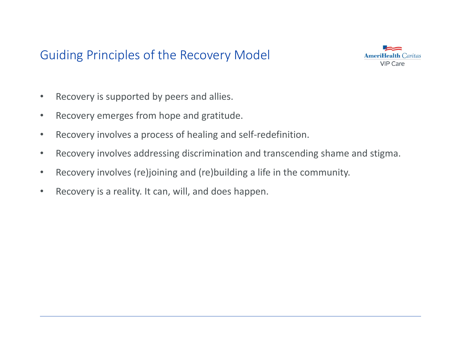# Guiding Principles of the Recovery Model



- •Recovery is supported by peers and allies.
- $\bullet$ Recovery emerges from hope and gratitude.
- $\bullet$ Recovery involves a process of healing and self‐redefinition.
- $\bullet$ Recovery involves addressing discrimination and transcending shame and stigma.
- $\bullet$ Recovery involves (re)joining and (re)building a life in the community.
- $\bullet$ Recovery is a reality. It can, will, and does happen.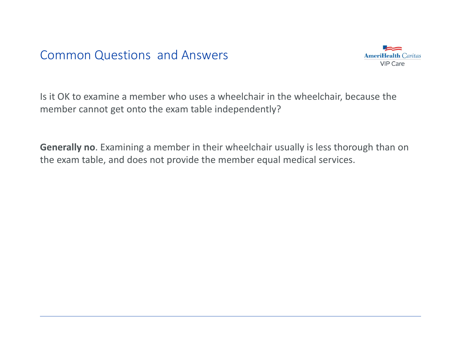

Is it OK to examine a member who uses a wheelchair in the wheelchair, because the member cannot get onto the exam table independently?

**Generally no**. Examining a member in their wheelchair usually is less thorough than on the exam table, and does not provide the member equal medical services.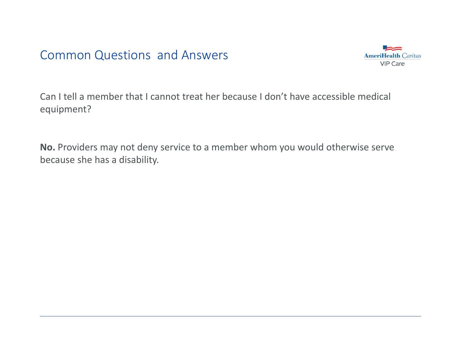

Can I tell a member that I cannot treat her because I don't have accessible medical equipment?

**No.** Providers may not deny service to a member whom you would otherwise serve because she has a disability.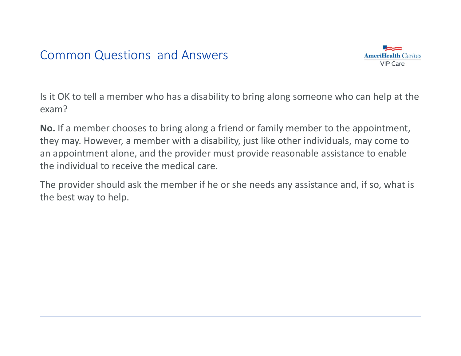

Is it OK to tell a member who has a disability to bring along someone who can help at the exam?

**No.** If a member chooses to bring along a friend or family member to the appointment, they may. However, a member with a disability, just like other individuals, may come to an appointment alone, and the provider must provide reasonable assistance to enable the individual to receive the medical care.

The provider should ask the member if he or she needs any assistance and, if so, what is the best way to help.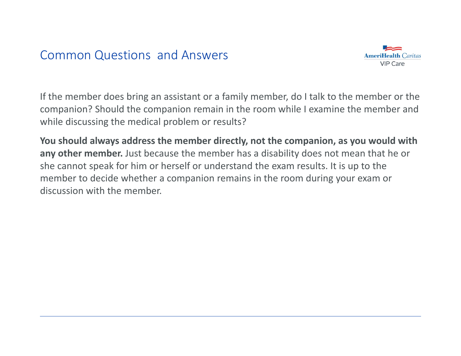

If the member does bring an assistant or a family member, do I talk to the member or the companion? Should the companion remain in the room while I examine the member and while discussing the medical problem or results?

**You should always address the member directly, not the companion, as you would with any other member.** Just because the member has a disability does not mean that he or she cannot speak for him or herself or understand the exam results. It is up to the member to decide whether a companion remains in the room during your exam or discussion with the member.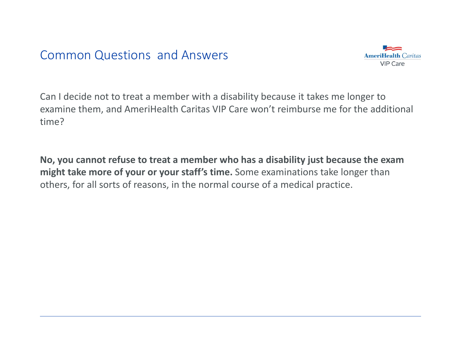

Can I decide not to treat a member with a disability because it takes me longer to examine them, and AmeriHealth Caritas VIP Care won't reimburse me for the additional time?

**No, you cannot refuse to treat a member who has a disability just because the exam might take more of your or your staff's time.** Some examinations take longer than others, for all sorts of reasons, in the normal course of a medical practice.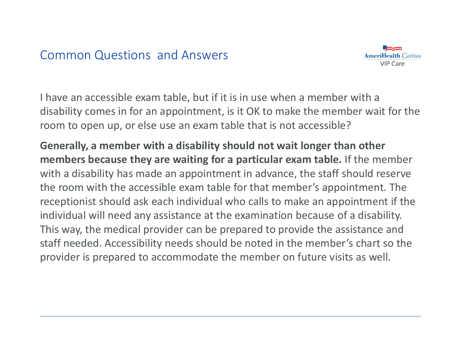

I have an accessible exam table, but if it is in use when a member with a disability comes in for an appointment, is it OK to make the member wait for the room to open up, or else use an exam table that is not accessible?

**Generally, a member with a disability should not wait longer than other members because they are waiting for a particular exam table.** If the member with a disability has made an appointment in advance, the staff should reserve the room with the accessible exam table for that member's appointment. The receptionist should ask each individual who calls to make an appointment if the individual will need any assistance at the examination because of a disability. This way, the medical provider can be prepared to provide the assistance and staff needed. Accessibility needs should be noted in the member's chart so the provider is prepared to accommodate the member on future visits as well.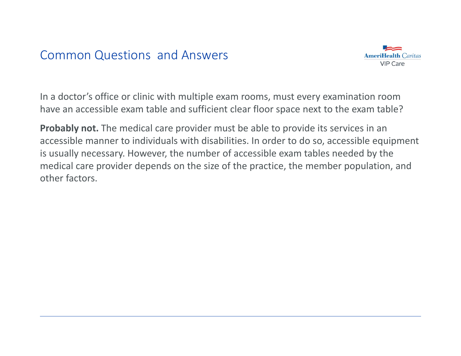

In a doctor's office or clinic with multiple exam rooms, must every examination room have an accessible exam table and sufficient clear floor space next to the exam table?

**Probably not.** The medical care provider must be able to provide its services in an accessible manner to individuals with disabilities. In order to do so, accessible equipment is usually necessary. However, the number of accessible exam tables needed by the medical care provider depends on the size of the practice, the member population, and other factors.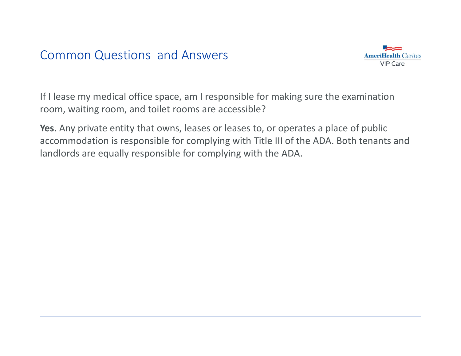

If I lease my medical office space, am I responsible for making sure the examination room, waiting room, and toilet rooms are accessible?

**Yes.** Any private entity that owns, leases or leases to, or operates a place of public accommodation is responsible for complying with Title III of the ADA. Both tenants and landlords are equally responsible for complying with the ADA.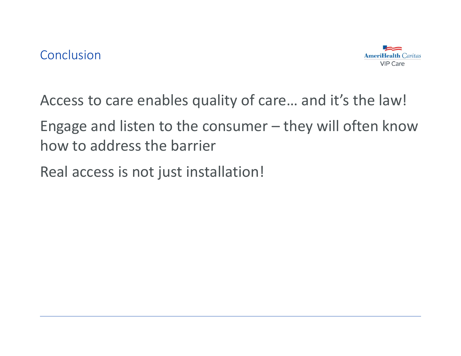

Access to care enables quality of care… and it's the law!

Engage and listen to the consumer – they will often know how to address the barrier

Real access is not just installation!